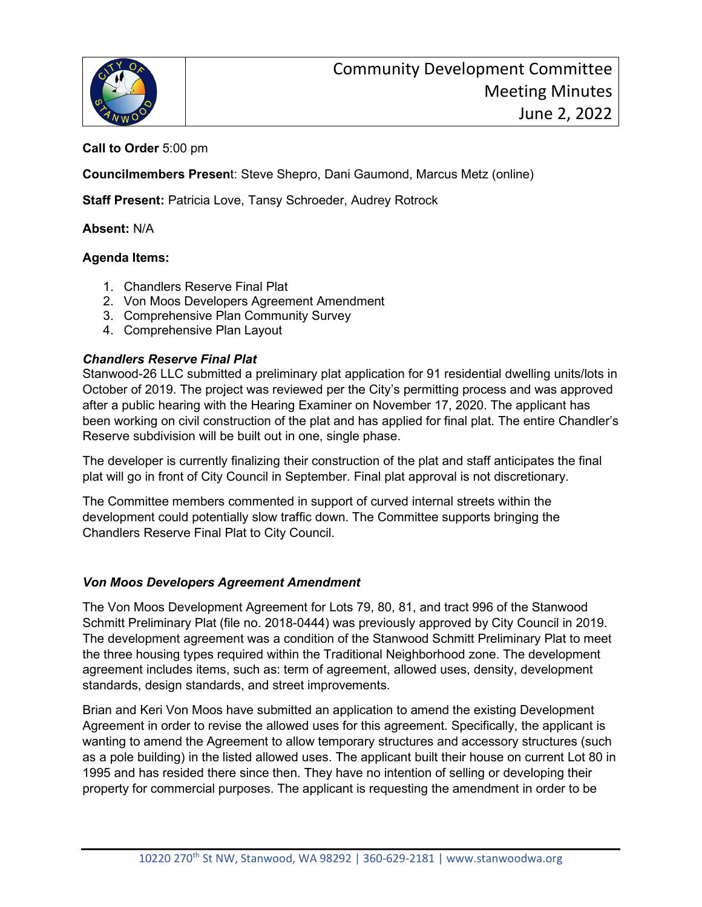

# **Call to Order** 5:00 pm

**Councilmembers Presen**t: Steve Shepro, Dani Gaumond, Marcus Metz (online)

**Staff Present:** Patricia Love, Tansy Schroeder, Audrey Rotrock

#### **Absent:** N/A

## **Agenda Items:**

- 1. Chandlers Reserve Final Plat
- 2. Von Moos Developers Agreement Amendment
- 3. Comprehensive Plan Community Survey
- 4. Comprehensive Plan Layout

## *Chandlers Reserve Final Plat*

Stanwood-26 LLC submitted a preliminary plat application for 91 residential dwelling units/lots in October of 2019. The project was reviewed per the City's permitting process and was approved after a public hearing with the Hearing Examiner on November 17, 2020. The applicant has been working on civil construction of the plat and has applied for final plat. The entire Chandler's Reserve subdivision will be built out in one, single phase.

The developer is currently finalizing their construction of the plat and staff anticipates the final plat will go in front of City Council in September. Final plat approval is not discretionary.

The Committee members commented in support of curved internal streets within the development could potentially slow traffic down. The Committee supports bringing the Chandlers Reserve Final Plat to City Council.

## *Von Moos Developers Agreement Amendment*

The Von Moos Development Agreement for Lots 79, 80, 81, and tract 996 of the Stanwood Schmitt Preliminary Plat (file no. 2018-0444) was previously approved by City Council in 2019. The development agreement was a condition of the Stanwood Schmitt Preliminary Plat to meet the three housing types required within the Traditional Neighborhood zone. The development agreement includes items, such as: term of agreement, allowed uses, density, development standards, design standards, and street improvements.

Brian and Keri Von Moos have submitted an application to amend the existing Development Agreement in order to revise the allowed uses for this agreement. Specifically, the applicant is wanting to amend the Agreement to allow temporary structures and accessory structures (such as a pole building) in the listed allowed uses. The applicant built their house on current Lot 80 in 1995 and has resided there since then. They have no intention of selling or developing their property for commercial purposes. The applicant is requesting the amendment in order to be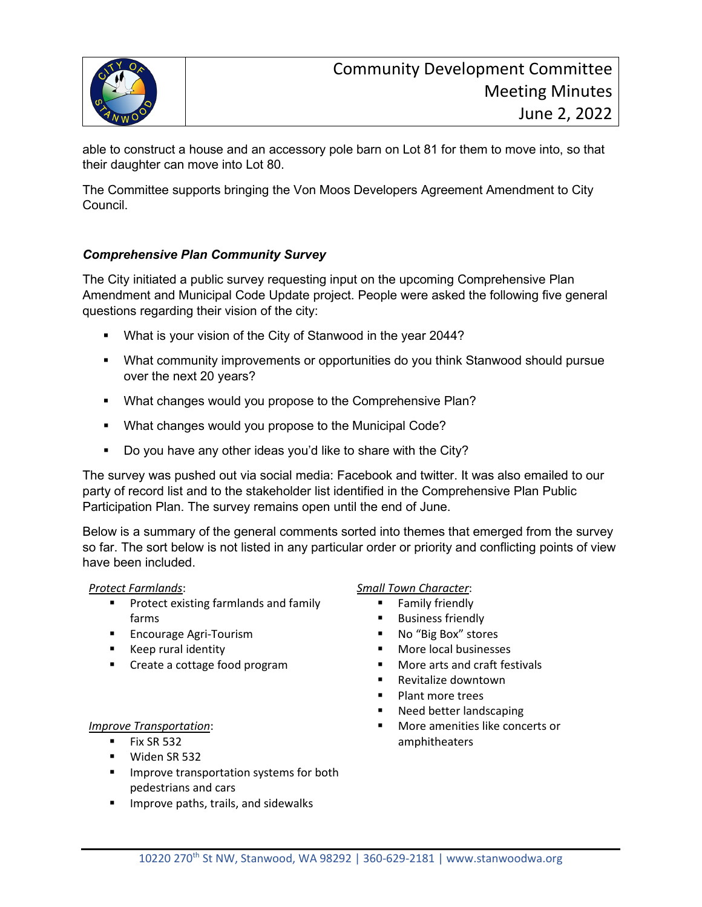

able to construct a house and an accessory pole barn on Lot 81 for them to move into, so that their daughter can move into Lot 80.

The Committee supports bringing the Von Moos Developers Agreement Amendment to City Council.

# *Comprehensive Plan Community Survey*

The City initiated a public survey requesting input on the upcoming Comprehensive Plan Amendment and Municipal Code Update project. People were asked the following five general questions regarding their vision of the city:

- **What is your vision of the City of Stanwood in the year 2044?**
- What community improvements or opportunities do you think Stanwood should pursue over the next 20 years?
- **What changes would you propose to the Comprehensive Plan?**
- What changes would you propose to the Municipal Code?
- Do you have any other ideas you'd like to share with the City?

The survey was pushed out via social media: Facebook and twitter. It was also emailed to our party of record list and to the stakeholder list identified in the Comprehensive Plan Public Participation Plan. The survey remains open until the end of June.

Below is a summary of the general comments sorted into themes that emerged from the survey so far. The sort below is not listed in any particular order or priority and conflicting points of view have been included.

## *Protect Farmlands*:

- **Protect existing farmlands and family** farms
- **Encourage Agri-Tourism**
- **Keep rural identity**
- **EXECT:** Create a cottage food program

## *Improve Transportation*:

- $Fix SR 532$
- **Widen SR 532**
- **IMPROVE transportation systems for both** pedestrians and cars
- **IMPROVE PARTS, trails, and sidewalks**

## *Small Town Character*:

- **Family friendly**
- **Business friendly**
- No "Big Box" stores
- More local businesses
- More arts and craft festivals
- Revitalize downtown
- Plant more trees
- Need better landscaping
- **More amenities like concerts or** amphitheaters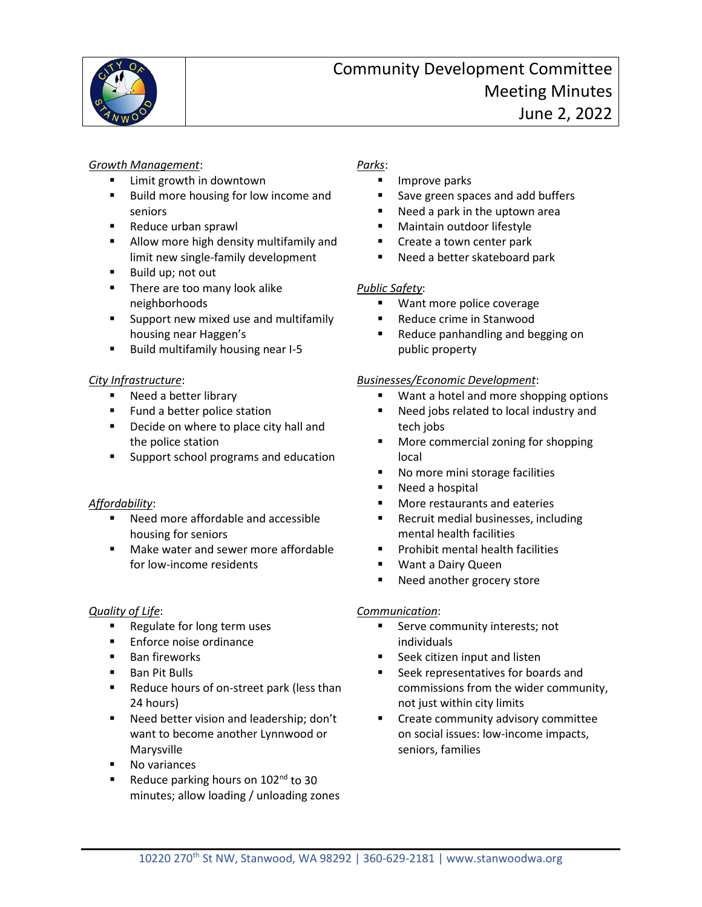

#### *Growth Management*:

- Limit growth in downtown
- Build more housing for low income and seniors
- Reduce urban sprawl
- **Allow more high density multifamily and** limit new single-family development
- Build up; not out
- **There are too many look alike** neighborhoods
- **Support new mixed use and multifamily** housing near Haggen's
- Build multifamily housing near I-5

# *City Infrastructure*:

- Need a better library
- **Fund a better police station**
- **Decide on where to place city hall and** the police station
- Support school programs and education

# *Affordability*:

- Need more affordable and accessible housing for seniors
- Make water and sewer more affordable for low-income residents

# *Quality of Life*:

- Regulate for long term uses
- Enforce noise ordinance
- **Ban fireworks**
- Ban Pit Bulls
- Reduce hours of on-street park (less than 24 hours)
- Need better vision and leadership; don't want to become another Lynnwood or Marysville
- No variances
- Reduce parking hours on  $102<sup>nd</sup>$  to 30 minutes; allow loading / unloading zones

# *Parks*:

- Improve parks
- Save green spaces and add buffers
- Need a park in the uptown area
- Maintain outdoor lifestyle
- **Create a town center park**
- **Need a better skateboard park**

# *Public Safety*:

- **Want more police coverage**
- Reduce crime in Stanwood
- **Reduce panhandling and begging on** public property

## *Businesses/Economic Development*:

- **Want a hotel and more shopping options**
- Need jobs related to local industry and tech jobs
- **More commercial zoning for shopping** local
- No more mini storage facilities
- **Need a hospital**
- More restaurants and eateries
- Recruit medial businesses, including mental health facilities
- **Prohibit mental health facilities**
- **Want a Dairy Queen**
- Need another grocery store

## *Communication*:

- Serve community interests; not individuals
- Seek citizen input and listen
- Seek representatives for boards and commissions from the wider community, not just within city limits
- **EXECT** Create community advisory committee on social issues: low-income impacts, seniors, families